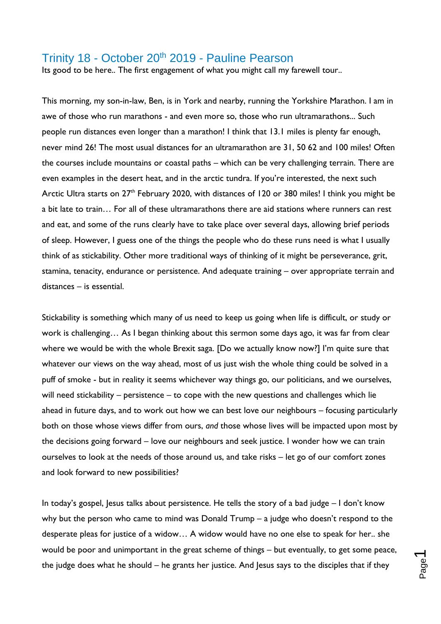## Trinity 18 - October 20<sup>th</sup> 2019 - Pauline Pearson

Its good to be here.. The first engagement of what you might call my farewell tour..

This morning, my son-in-law, Ben, is in York and nearby, running the Yorkshire Marathon. I am in awe of those who run marathons - and even more so, those who run ultramarathons... Such people run distances even longer than a marathon! I think that 13.1 miles is plenty far enough, never mind 26! The most usual distances for an ultramarathon are 31, 50 62 and 100 miles! Often the courses include mountains or coastal paths – which can be very challenging terrain. There are even examples in the desert heat, and in the arctic tundra. If you're interested, the next such Arctic Ultra starts on 27<sup>th</sup> February 2020, with distances of 120 or 380 miles! I think you might be a bit late to train… For all of these ultramarathons there are aid stations where runners can rest and eat, and some of the runs clearly have to take place over several days, allowing brief periods of sleep. However, I guess one of the things the people who do these runs need is what I usually think of as stickability. Other more traditional ways of thinking of it might be perseverance, grit, stamina, tenacity, endurance or persistence. And adequate training – over appropriate terrain and distances – is essential.

Stickability is something which many of us need to keep us going when life is difficult, or study or work is challenging… As I began thinking about this sermon some days ago, it was far from clear where we would be with the whole Brexit saga. [Do we actually know now?] I'm quite sure that whatever our views on the way ahead, most of us just wish the whole thing could be solved in a puff of smoke - but in reality it seems whichever way things go, our politicians, and we ourselves, will need stickability – persistence – to cope with the new questions and challenges which lie ahead in future days, and to work out how we can best love our neighbours – focusing particularly both on those whose views differ from ours, *and* those whose lives will be impacted upon most by the decisions going forward – love our neighbours and seek justice. I wonder how we can train ourselves to look at the needs of those around us, and take risks – let go of our comfort zones and look forward to new possibilities?

In today's gospel, Jesus talks about persistence. He tells the story of a bad judge – I don't know why but the person who came to mind was Donald Trump – a judge who doesn't respond to the desperate pleas for justice of a widow… A widow would have no one else to speak for her.. she would be poor and unimportant in the great scheme of things – but eventually, to get some peace, the judge does what he should – he grants her justice. And Jesus says to the disciples that if they

 $\blacksquare$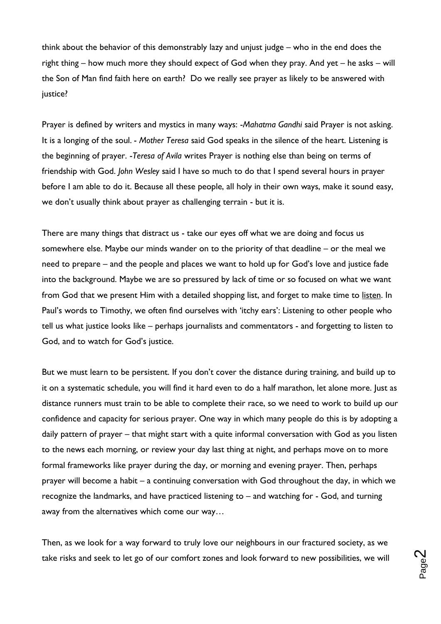think about the behavior of this demonstrably lazy and unjust judge – who in the end does the right thing – how much more they should expect of God when they pray. And yet – he asks – will the Son of Man find faith here on earth? Do we really see prayer as likely to be answered with justice?

Prayer is defined by writers and mystics in many ways: -*Mahatma Gandhi* said Prayer is not asking. It is a longing of the soul. - *Mother Teresa* said God speaks in the silence of the heart. Listening is the beginning of prayer. -*Teresa of Avila* writes Prayer is nothing else than being on terms of friendship with God. *John Wesley* said I have so much to do that I spend several hours in prayer before I am able to do it. Because all these people, all holy in their own ways, make it sound easy, we don't usually think about prayer as challenging terrain - but it is.

There are many things that distract us - take our eyes off what we are doing and focus us somewhere else. Maybe our minds wander on to the priority of that deadline – or the meal we need to prepare – and the people and places we want to hold up for God's love and justice fade into the background. Maybe we are so pressured by lack of time or so focused on what we want from God that we present Him with a detailed shopping list, and forget to make time to listen. In Paul's words to Timothy, we often find ourselves with 'itchy ears': Listening to other people who tell us what justice looks like – perhaps journalists and commentators - and forgetting to listen to God, and to watch for God's justice.

But we must learn to be persistent. If you don't cover the distance during training, and build up to it on a systematic schedule, you will find it hard even to do a half marathon, let alone more. Just as distance runners must train to be able to complete their race, so we need to work to build up our confidence and capacity for serious prayer. One way in which many people do this is by adopting a daily pattern of prayer – that might start with a quite informal conversation with God as you listen to the news each morning, or review your day last thing at night, and perhaps move on to more formal frameworks like prayer during the day, or morning and evening prayer. Then, perhaps prayer will become a habit – a continuing conversation with God throughout the day, in which we recognize the landmarks, and have practiced listening to – and watching for - God, and turning away from the alternatives which come our way…

Then, as we look for a way forward to truly love our neighbours in our fractured society, as we take risks and seek to let go of our comfort zones and look forward to new possibilities, we will